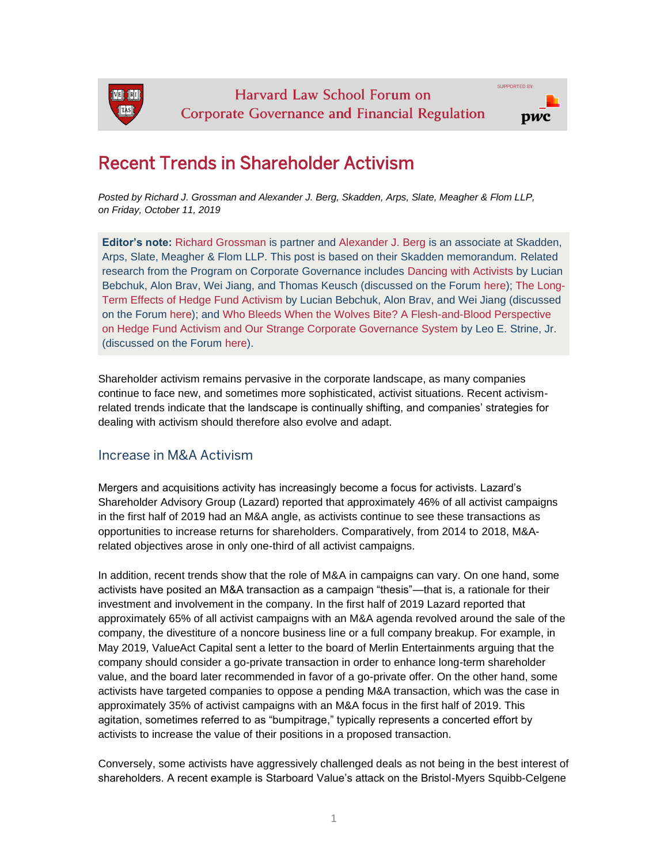

# Recent Trends in Shareholder Activism

*Posted by Richard J. Grossman and Alexander J. Berg, Skadden, Arps, Slate, Meagher & Flom LLP, on Friday, October 11, 2019*

**Editor's note:** [Richard Grossman](https://www.skadden.com/professionals/g/grossman-richard-j) is partner and [Alexander J. Berg](https://www.skadden.com/professionals/b/berg-alexander-j) is an associate at Skadden, Arps, Slate, Meagher & Flom LLP. This post is based on their Skadden memorandum. Related research from the Program on Corporate Governance includes [Dancing with Activists](https://papers.ssrn.com/sol3/papers.cfm?abstract_id=2948869) by Lucian Bebchuk, Alon Brav, Wei Jiang, and Thomas Keusch (discussed on the Forum [here\)](https://corpgov.law.harvard.edu/2017/05/30/dancing-with-activists/); [The Long-](https://papers.ssrn.com/sol3/papers.cfm?abstract_id=2291577)[Term Effects of Hedge Fund Activism](https://papers.ssrn.com/sol3/papers.cfm?abstract_id=2291577) by Lucian Bebchuk, Alon Brav, and Wei Jiang (discussed on the Forum [here\)](https://corpgov.law.harvard.edu/2013/08/19/the-long-term-effects-of-hedge-fund-activism/); and [Who Bleeds When the Wolves Bite? A Flesh-and-Blood Perspective](https://papers.ssrn.com/sol3/papers.cfm?abstract_id=2921901)  [on Hedge Fund Activism and Our Strange Corporate Governance System](https://papers.ssrn.com/sol3/papers.cfm?abstract_id=2921901) by Leo E. Strine, Jr. (discussed on the Forum [here\)](https://corpgov.law.harvard.edu/2017/02/23/who-bleeds-when-the-wolves-bite/).

Shareholder activism remains pervasive in the corporate landscape, as many companies continue to face new, and sometimes more sophisticated, activist situations. Recent activismrelated trends indicate that the landscape is continually shifting, and companies' strategies for dealing with activism should therefore also evolve and adapt.

#### Increase in M&A Activism

Mergers and acquisitions activity has increasingly become a focus for activists. Lazard's Shareholder Advisory Group (Lazard) reported that approximately 46% of all activist campaigns in the first half of 2019 had an M&A angle, as activists continue to see these transactions as opportunities to increase returns for shareholders. Comparatively, from 2014 to 2018, M&Arelated objectives arose in only one-third of all activist campaigns.

In addition, recent trends show that the role of M&A in campaigns can vary. On one hand, some activists have posited an M&A transaction as a campaign "thesis"—that is, a rationale for their investment and involvement in the company. In the first half of 2019 Lazard reported that approximately 65% of all activist campaigns with an M&A agenda revolved around the sale of the company, the divestiture of a noncore business line or a full company breakup. For example, in May 2019, ValueAct Capital sent a letter to the board of Merlin Entertainments arguing that the company should consider a go-private transaction in order to enhance long-term shareholder value, and the board later recommended in favor of a go-private offer. On the other hand, some activists have targeted companies to oppose a pending M&A transaction, which was the case in approximately 35% of activist campaigns with an M&A focus in the first half of 2019. This agitation, sometimes referred to as "bumpitrage," typically represents a concerted effort by activists to increase the value of their positions in a proposed transaction.

Conversely, some activists have aggressively challenged deals as not being in the best interest of shareholders. A recent example is Starboard Value's attack on the Bristol-Myers Squibb-Celgene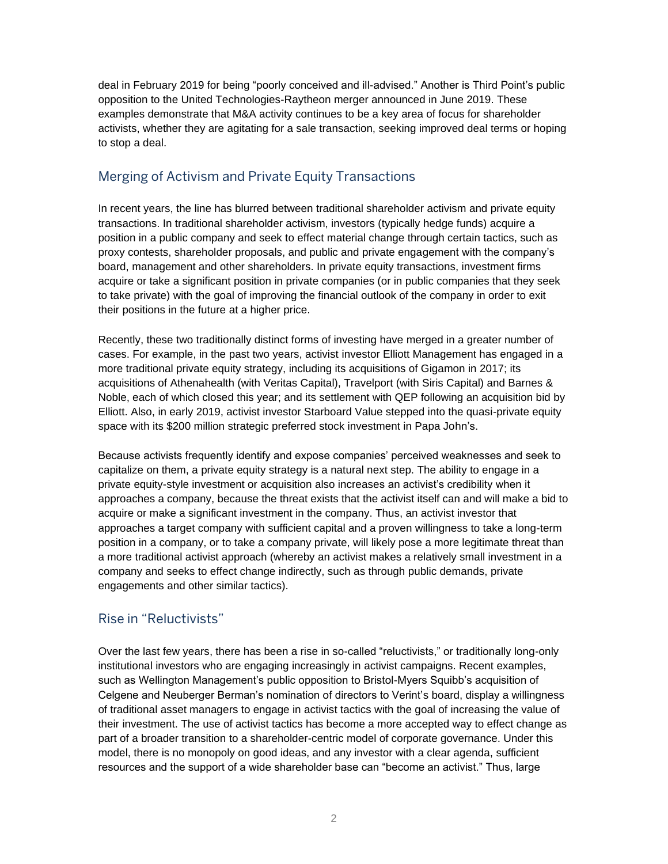deal in February 2019 for being "poorly conceived and ill-advised." Another is Third Point's public opposition to the United Technologies-Raytheon merger announced in June 2019. These examples demonstrate that M&A activity continues to be a key area of focus for shareholder activists, whether they are agitating for a sale transaction, seeking improved deal terms or hoping to stop a deal.

# Merging of Activism and Private Equity Transactions

In recent years, the line has blurred between traditional shareholder activism and private equity transactions. In traditional shareholder activism, investors (typically hedge funds) acquire a position in a public company and seek to effect material change through certain tactics, such as proxy contests, shareholder proposals, and public and private engagement with the company's board, management and other shareholders. In private equity transactions, investment firms acquire or take a significant position in private companies (or in public companies that they seek to take private) with the goal of improving the financial outlook of the company in order to exit their positions in the future at a higher price.

Recently, these two traditionally distinct forms of investing have merged in a greater number of cases. For example, in the past two years, activist investor Elliott Management has engaged in a more traditional private equity strategy, including its acquisitions of Gigamon in 2017; its acquisitions of Athenahealth (with Veritas Capital), Travelport (with Siris Capital) and Barnes & Noble, each of which closed this year; and its settlement with QEP following an acquisition bid by Elliott. Also, in early 2019, activist investor Starboard Value stepped into the quasi-private equity space with its \$200 million strategic preferred stock investment in Papa John's.

Because activists frequently identify and expose companies' perceived weaknesses and seek to capitalize on them, a private equity strategy is a natural next step. The ability to engage in a private equity-style investment or acquisition also increases an activist's credibility when it approaches a company, because the threat exists that the activist itself can and will make a bid to acquire or make a significant investment in the company. Thus, an activist investor that approaches a target company with sufficient capital and a proven willingness to take a long-term position in a company, or to take a company private, will likely pose a more legitimate threat than a more traditional activist approach (whereby an activist makes a relatively small investment in a company and seeks to effect change indirectly, such as through public demands, private engagements and other similar tactics).

## Rise in "Reluctivists"

Over the last few years, there has been a rise in so-called "reluctivists," or traditionally long-only institutional investors who are engaging increasingly in activist campaigns. Recent examples, such as Wellington Management's public opposition to Bristol-Myers Squibb's acquisition of Celgene and Neuberger Berman's nomination of directors to Verint's board, display a willingness of traditional asset managers to engage in activist tactics with the goal of increasing the value of their investment. The use of activist tactics has become a more accepted way to effect change as part of a broader transition to a shareholder-centric model of corporate governance. Under this model, there is no monopoly on good ideas, and any investor with a clear agenda, sufficient resources and the support of a wide shareholder base can "become an activist." Thus, large